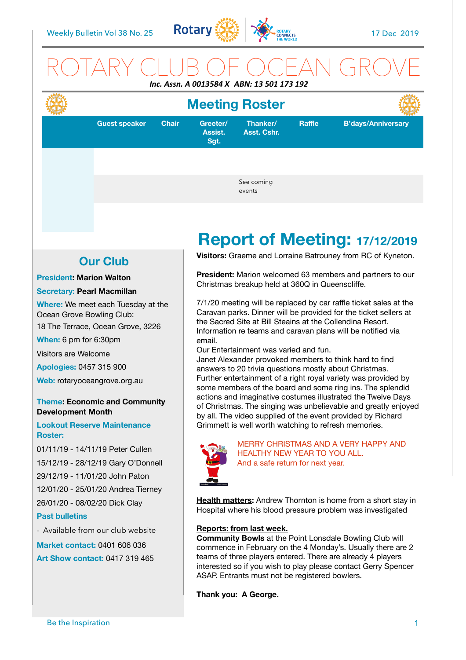

### ROTARY CLUB OF OCEAN GROVE *Inc. Assn. A 0013584 X ABN: 13 501 173 192*



## **Meeting Roster**

**Guest speaker Chair Greeter/** 

**Assist. Sgt.**

**Asst. Cshr.**

**Raffle B'days/Anniversary**

See coming events

**Thanker/**

# **Report of Meeting: 17/12/2019**

**Our Club** 

**President: Marion Walton**

#### **Secretary: Pearl Macmillan**

**Where:** We meet each Tuesday at the Ocean Grove Bowling Club:

18 The Terrace, Ocean Grove, 3226

**When:** 6 pm for 6:30pm

Visitors are Welcome

**Apologies:** 0457 315 900

**Web:** rotaryoceangrove.org.au

#### **Theme: Economic and Community Development Month**

#### **Lookout Reserve Maintenance Roster:**

01/11/19 - 14/11/19 Peter Cullen 15/12/19 - 28/12/19 Gary O'Donnell 29/12/19 - 11/01/20 John Paton 12/01/20 - 25/01/20 Andrea Tierney 26/01/20 - 08/02/20 Dick Clay

#### **Past bulletins**

- Available from our club website

**Market contact:** 0401 606 036

**Art Show contact:** 0417 319 465

**Visitors:** Graeme and Lorraine Batrouney from RC of Kyneton.

**President:** Marion welcomed 63 members and partners to our Christmas breakup held at 360Q in Queenscliffe.

7/1/20 meeting will be replaced by car raffle ticket sales at the Caravan parks. Dinner will be provided for the ticket sellers at the Sacred Site at Bill Steains at the Collendina Resort. Information re teams and caravan plans will be notified via email.

Our Entertainment was varied and fun.

Janet Alexander provoked members to think hard to find answers to 20 trivia questions mostly about Christmas. Further entertainment of a right royal variety was provided by some members of the board and some ring ins. The splendid actions and imaginative costumes illustrated the Twelve Days of Christmas. The singing was unbelievable and greatly enjoyed by all. The video supplied of the event provided by Richard Grimmett is well worth watching to refresh memories.



MERRY CHRISTMAS AND A VERY HAPPY AND HEALTHY NEW YEAR TO YOU ALL. And a safe return for next year.

**Health matters:** Andrew Thornton is home from a short stay in Hospital where his blood pressure problem was investigated

#### **Reports: from last week.**

**Community Bowls** at the Point Lonsdale Bowling Club will commence in February on the 4 Monday's. Usually there are 2 teams of three players entered. There are already 4 players interested so if you wish to play please contact Gerry Spencer ASAP. Entrants must not be registered bowlers.

**Thank you: A George.**